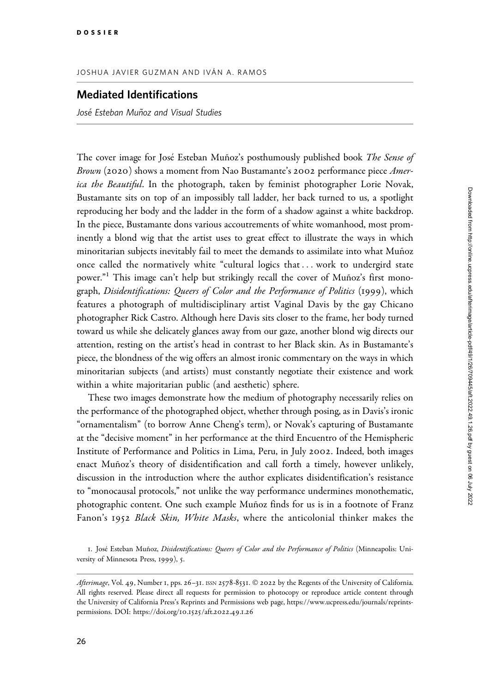## JOSHUA JAVIER GUZMAN AND IVÁN A. RAMOS

## Mediated Identifications

José Esteban Muñoz and Visual Studies

The cover image for José Esteban Muñoz's posthumously published book The Sense of Brown (2020) shows a moment from Nao Bustamante's 2002 performance piece *Amer*ica the Beautiful. In the photograph, taken by feminist photographer Lorie Novak, Bustamante sits on top of an impossibly tall ladder, her back turned to us, a spotlight reproducing her body and the ladder in the form of a shadow against a white backdrop. In the piece, Bustamante dons various accoutrements of white womanhood, most prominently a blond wig that the artist uses to great effect to illustrate the ways in which minoritarian subjects inevitably fail to meet the demands to assimilate into what Muñoz once called the normatively white "cultural logics that ... work to undergird state power."<sup>1</sup> This image can't help but strikingly recall the cover of Muñoz's first monograph, Disidentifications: Queers of Color and the Performance of Politics (1999), which features a photograph of multidisciplinary artist Vaginal Davis by the gay Chicano photographer Rick Castro. Although here Davis sits closer to the frame, her body turned toward us while she delicately glances away from our gaze, another blond wig directs our attention, resting on the artist's head in contrast to her Black skin. As in Bustamante's piece, the blondness of the wig offers an almost ironic commentary on the ways in which minoritarian subjects (and artists) must constantly negotiate their existence and work within a white majoritarian public (and aesthetic) sphere.

These two images demonstrate how the medium of photography necessarily relies on the performance of the photographed object, whether through posing, as in Davis's ironic "ornamentalism" (to borrow Anne Cheng's term), or Novak's capturing of Bustamante at the "decisive moment" in her performance at the third Encuentro of the Hemispheric Institute of Performance and Politics in Lima, Peru, in July 2002. Indeed, both images enact Muñoz's theory of disidentification and call forth a timely, however unlikely, discussion in the introduction where the author explicates disidentification's resistance to "monocausal protocols," not unlike the way performance undermines monothematic, photographic content. One such example Muñoz finds for us is in a footnote of Franz Fanon's 1952 Black Skin, White Masks, where the anticolonial thinker makes the

<sup>1.</sup> José Esteban Muñoz, Disidentifications: Queers of Color and the Performance of Politics (Minneapolis: University of Minnesota Press, 1999), 5.

Afterimage, Vol. 49, Number 1, pps. 26-31. ISSN 2578-8531. © 2022 by the Regents of the University of California. All rights reserved. Please direct all requests for permission to photocopy or reproduce article content through the University of California Press's Reprints and Permissions web page, [https://www.ucpress.edu/journals/reprints](https://www.ucpress.edu/journals/reprints-permissions)[permissions.](https://www.ucpress.edu/journals/reprints-permissions) [DOI: https://doi.org/](https://doi.org/10.1525/aft.2022.49.1.26)10.1525/aft.2022.49.1.26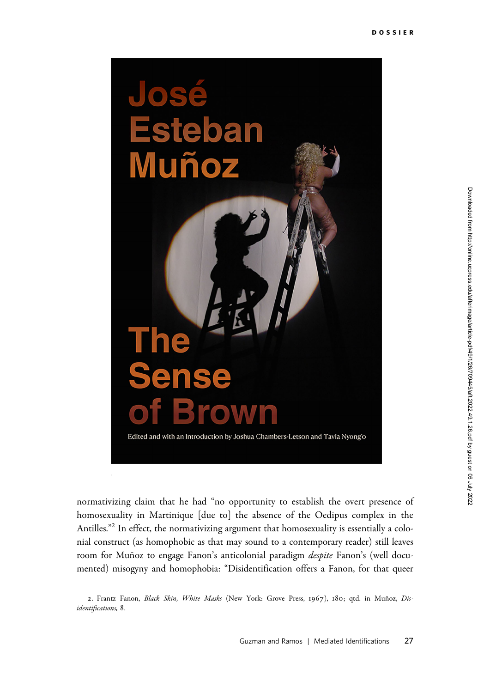

normativizing claim that he had "no opportunity to establish the overt presence of homosexuality in Martinique [due to] the absence of the Oedipus complex in the Antilles."<sup>2</sup> In effect, the normativizing argument that homosexuality is essentially a colonial construct (as homophobic as that may sound to a contemporary reader) still leaves room for Muñoz to engage Fanon's anticolonial paradigm *despite* Fanon's (well documented) misogyny and homophobia: "Disidentification offers a Fanon, for that queer

<sup>2.</sup> Frantz Fanon, Black Skin, White Masks (New York: Grove Press, 1967), 180; qtd. in Muñoz, Disidentifications, 8.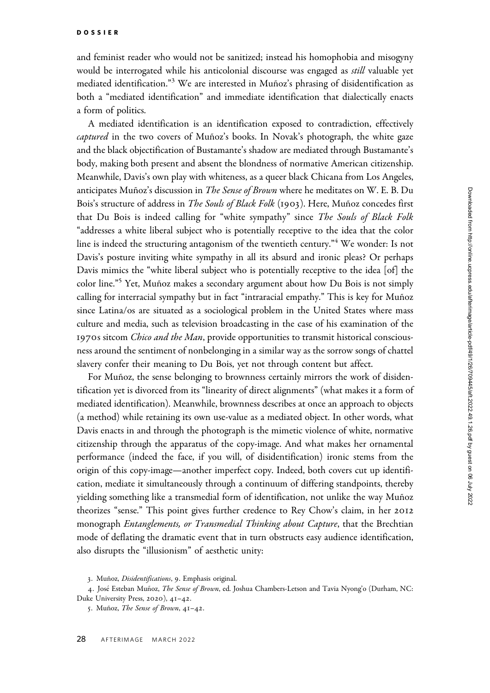and feminist reader who would not be sanitized; instead his homophobia and misogyny would be interrogated while his anticolonial discourse was engaged as *still* valuable yet mediated identification."<sup>3</sup> We are interested in Muñoz's phrasing of disidentification as both a "mediated identification" and immediate identification that dialectically enacts a form of politics.

A mediated identification is an identification exposed to contradiction, effectively captured in the two covers of Muñoz's books. In Novak's photograph, the white gaze and the black objectification of Bustamante's shadow are mediated through Bustamante's body, making both present and absent the blondness of normative American citizenship. Meanwhile, Davis's own play with whiteness, as a queer black Chicana from Los Angeles, anticipates Muñoz's discussion in *The Sense of Brown* where he meditates on W. E. B. Du Bois's structure of address in The Souls of Black Folk (1903). Here, Muñoz concedes first that Du Bois is indeed calling for "white sympathy" since The Souls of Black Folk "addresses a white liberal subject who is potentially receptive to the idea that the color line is indeed the structuring antagonism of the twentieth century."<sup>4</sup> We wonder: Is not Davis's posture inviting white sympathy in all its absurd and ironic pleas? Or perhaps Davis mimics the "white liberal subject who is potentially receptive to the idea [of] the color line."<sup>5</sup> Yet, Muñoz makes a secondary argument about how Du Bois is not simply calling for interracial sympathy but in fact "intraracial empathy." This is key for Muñoz since Latina/os are situated as a sociological problem in the United States where mass culture and media, such as television broadcasting in the case of his examination of the 1970s sitcom *Chico and the Man*, provide opportunities to transmit historical consciousness around the sentiment of nonbelonging in a similar way as the sorrow songs of chattel slavery confer their meaning to Du Bois, yet not through content but affect.

For Muñoz, the sense belonging to brownness certainly mirrors the work of disidentification yet is divorced from its "linearity of direct alignments" (what makes it a form of mediated identification). Meanwhile, brownness describes at once an approach to objects (a method) while retaining its own use-value as a mediated object. In other words, what Davis enacts in and through the photograph is the mimetic violence of white, normative citizenship through the apparatus of the copy-image. And what makes her ornamental performance (indeed the face, if you will, of disidentification) ironic stems from the origin of this copy-image—another imperfect copy. Indeed, both covers cut up identification, mediate it simultaneously through a continuum of differing standpoints, thereby yielding something like a transmedial form of identification, not unlike the way Muñoz theorizes "sense." This point gives further credence to Rey Chow's claim, in her 2012 monograph *Entanglements, or Transmedial Thinking about Capture*, that the Brechtian mode of deflating the dramatic event that in turn obstructs easy audience identification, also disrupts the "illusionism" of aesthetic unity:

<sup>3.</sup> Muñoz, Disidentifications, 9. Emphasis original.

<sup>4.</sup> José Esteban Muñoz, The Sense of Brown, ed. Joshua Chambers-Letson and Tavia Nyong'o (Durham, NC: Duke University Press, 2020), 41–42.

<sup>5.</sup> Muñoz, The Sense of Brown,  $4I-42$ .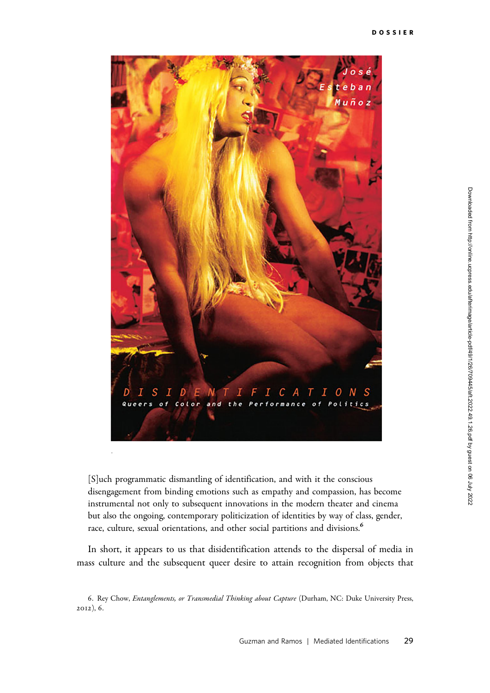

[S]uch programmatic dismantling of identification, and with it the conscious disengagement from binding emotions such as empathy and compassion, has become instrumental not only to subsequent innovations in the modern theater and cinema but also the ongoing, contemporary politicization of identities by way of class, gender, race, culture, sexual orientations, and other social partitions and divisions.<sup>6</sup>

In short, it appears to us that disidentification attends to the dispersal of media in mass culture and the subsequent queer desire to attain recognition from objects that

<sup>6.</sup> Rey Chow, Entanglements, or Transmedial Thinking about Capture (Durham, NC: Duke University Press, 2012), 6.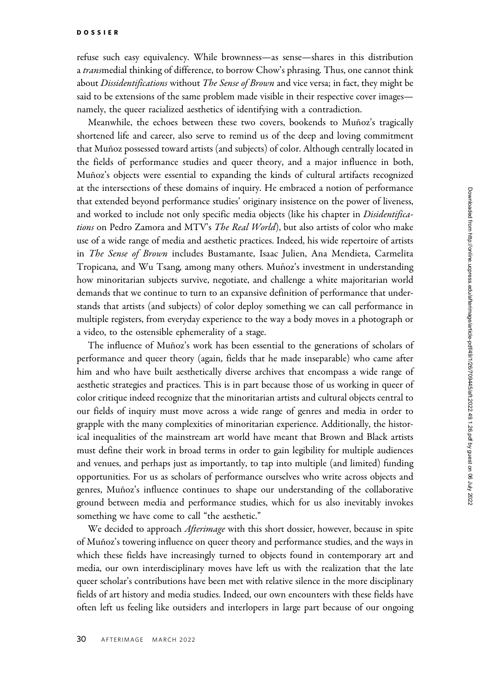refuse such easy equivalency. While brownness—as sense—shares in this distribution a transmedial thinking of difference, to borrow Chow's phrasing. Thus, one cannot think about *Dissidentifications* without *The Sense of Brown* and vice versa; in fact, they might be said to be extensions of the same problem made visible in their respective cover images namely, the queer racialized aesthetics of identifying with a contradiction.

Meanwhile, the echoes between these two covers, bookends to Muñoz's tragically shortened life and career, also serve to remind us of the deep and loving commitment that Muñoz possessed toward artists (and subjects) of color. Although centrally located in the fields of performance studies and queer theory, and a major influence in both, Muñoz's objects were essential to expanding the kinds of cultural artifacts recognized at the intersections of these domains of inquiry. He embraced a notion of performance that extended beyond performance studies' originary insistence on the power of liveness, and worked to include not only specific media objects (like his chapter in *Disidentifica*tions on Pedro Zamora and MTV's The Real World), but also artists of color who make use of a wide range of media and aesthetic practices. Indeed, his wide repertoire of artists in The Sense of Brown includes Bustamante, Isaac Julien, Ana Mendieta, Carmelita Tropicana, and Wu Tsang, among many others. Muñoz's investment in understanding how minoritarian subjects survive, negotiate, and challenge a white majoritarian world demands that we continue to turn to an expansive definition of performance that understands that artists (and subjects) of color deploy something we can call performance in multiple registers, from everyday experience to the way a body moves in a photograph or a video, to the ostensible ephemerality of a stage.

The influence of Muñoz's work has been essential to the generations of scholars of performance and queer theory (again, fields that he made inseparable) who came after him and who have built aesthetically diverse archives that encompass a wide range of aesthetic strategies and practices. This is in part because those of us working in queer of color critique indeed recognize that the minoritarian artists and cultural objects central to our fields of inquiry must move across a wide range of genres and media in order to grapple with the many complexities of minoritarian experience. Additionally, the historical inequalities of the mainstream art world have meant that Brown and Black artists must define their work in broad terms in order to gain legibility for multiple audiences and venues, and perhaps just as importantly, to tap into multiple (and limited) funding opportunities. For us as scholars of performance ourselves who write across objects and genres, Muñoz's influence continues to shape our understanding of the collaborative ground between media and performance studies, which for us also inevitably invokes something we have come to call "the aesthetic."

We decided to approach *Afterimage* with this short dossier, however, because in spite of Mun˜oz's towering influence on queer theory and performance studies, and the ways in which these fields have increasingly turned to objects found in contemporary art and media, our own interdisciplinary moves have left us with the realization that the late queer scholar's contributions have been met with relative silence in the more disciplinary fields of art history and media studies. Indeed, our own encounters with these fields have often left us feeling like outsiders and interlopers in large part because of our ongoing